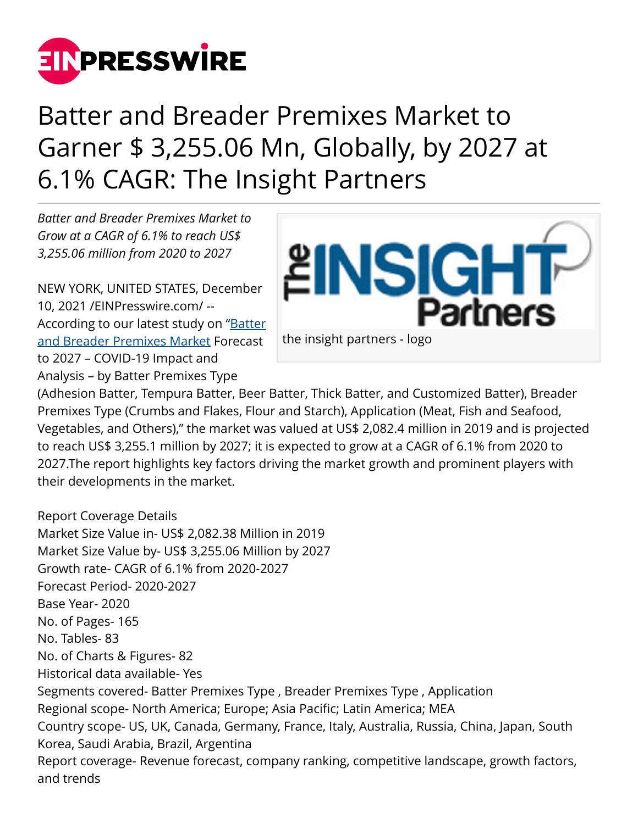

## Batter and Breader Premixes Market to Garner \$ 3,255.06 Mn, Globally, by 2027 at 6.1% CAGR: The Insight Partners

*Batter and Breader Premixes Market to Grow at a CAGR of 6.1% to reach US\$ 3,255.06 million from 2020 to 2027*

NEW YORK, UNITED STATES, December 10, 2021 /[EINPresswire.com/](http://www.einpresswire.com) -- According to our latest study on "[Batter](https://www.theinsightpartners.com/reports/batter-and-breader-premixes-market/) [and Breader Premixes Market](https://www.theinsightpartners.com/reports/batter-and-breader-premixes-market/) Forecast to 2027 – COVID-19 Impact and Analysis – by Batter Premixes Type



(Adhesion Batter, Tempura Batter, Beer Batter, Thick Batter, and Customized Batter), Breader Premixes Type (Crumbs and Flakes, Flour and Starch), Application (Meat, Fish and Seafood, Vegetables, and Others)," the market was valued at US\$ 2,082.4 million in 2019 and is projected to reach US\$ 3,255.1 million by 2027; it is expected to grow at a CAGR of 6.1% from 2020 to 2027.The report highlights key factors driving the market growth and prominent players with their developments in the market.

Report Coverage Details Market Size Value in- US\$ 2,082.38 Million in 2019 Market Size Value by- US\$ 3,255.06 Million by 2027 Growth rate- CAGR of 6.1% from 2020-2027 Forecast Period- 2020-2027 Base Year- 2020 No. of Pages- 165 No. Tables- 83 No. of Charts & Figures- 82 Historical data available- Yes Segments covered- Batter Premixes Type , Breader Premixes Type , Application Regional scope- North America; Europe; Asia Pacific; Latin America; MEA Country scope- US, UK, Canada, Germany, France, Italy, Australia, Russia, China, Japan, South Korea, Saudi Arabia, Brazil, Argentina Report coverage- Revenue forecast, company ranking, competitive landscape, growth factors, and trends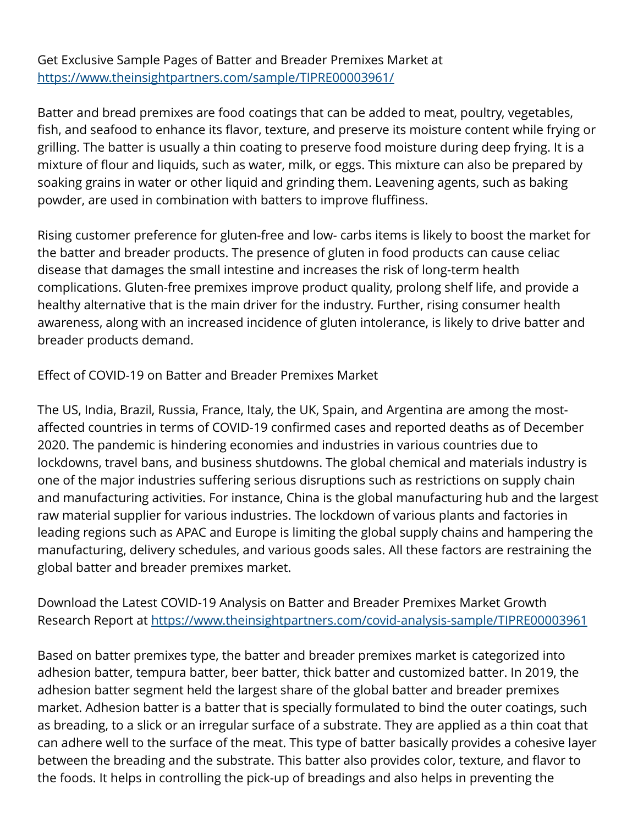Get Exclusive Sample Pages of Batter and Breader Premixes Market at [https://www.theinsightpartners.com/sample/TIPRE00003961/](https://www.theinsightpartners.com/sample/TIPRE00003961/?utm_source=EINPressWire&utm_medium=10310)

Batter and bread premixes are food coatings that can be added to meat, poultry, vegetables, fish, and seafood to enhance its flavor, texture, and preserve its moisture content while frying or grilling. The batter is usually a thin coating to preserve food moisture during deep frying. It is a mixture of flour and liquids, such as water, milk, or eggs. This mixture can also be prepared by soaking grains in water or other liquid and grinding them. Leavening agents, such as baking powder, are used in combination with batters to improve fluffiness.

Rising customer preference for gluten-free and low- carbs items is likely to boost the market for the batter and breader products. The presence of gluten in food products can cause celiac disease that damages the small intestine and increases the risk of long-term health complications. Gluten-free premixes improve product quality, prolong shelf life, and provide a healthy alternative that is the main driver for the industry. Further, rising consumer health awareness, along with an increased incidence of gluten intolerance, is likely to drive batter and breader products demand.

Effect of COVID-19 on Batter and Breader Premixes Market

The US, India, Brazil, Russia, France, Italy, the UK, Spain, and Argentina are among the mostaffected countries in terms of COVID-19 confirmed cases and reported deaths as of December 2020. The pandemic is hindering economies and industries in various countries due to lockdowns, travel bans, and business shutdowns. The global chemical and materials industry is one of the major industries suffering serious disruptions such as restrictions on supply chain and manufacturing activities. For instance, China is the global manufacturing hub and the largest raw material supplier for various industries. The lockdown of various plants and factories in leading regions such as APAC and Europe is limiting the global supply chains and hampering the manufacturing, delivery schedules, and various goods sales. All these factors are restraining the global batter and breader premixes market.

Download the Latest COVID-19 Analysis on Batter and Breader Premixes Market Growth Research Report at<https://www.theinsightpartners.com/covid-analysis-sample/TIPRE00003961>

Based on batter premixes type, the batter and breader premixes market is categorized into adhesion batter, tempura batter, beer batter, thick batter and customized batter. In 2019, the adhesion batter segment held the largest share of the global batter and breader premixes market. Adhesion batter is a batter that is specially formulated to bind the outer coatings, such as breading, to a slick or an irregular surface of a substrate. They are applied as a thin coat that can adhere well to the surface of the meat. This type of batter basically provides a cohesive layer between the breading and the substrate. This batter also provides color, texture, and flavor to the foods. It helps in controlling the pick-up of breadings and also helps in preventing the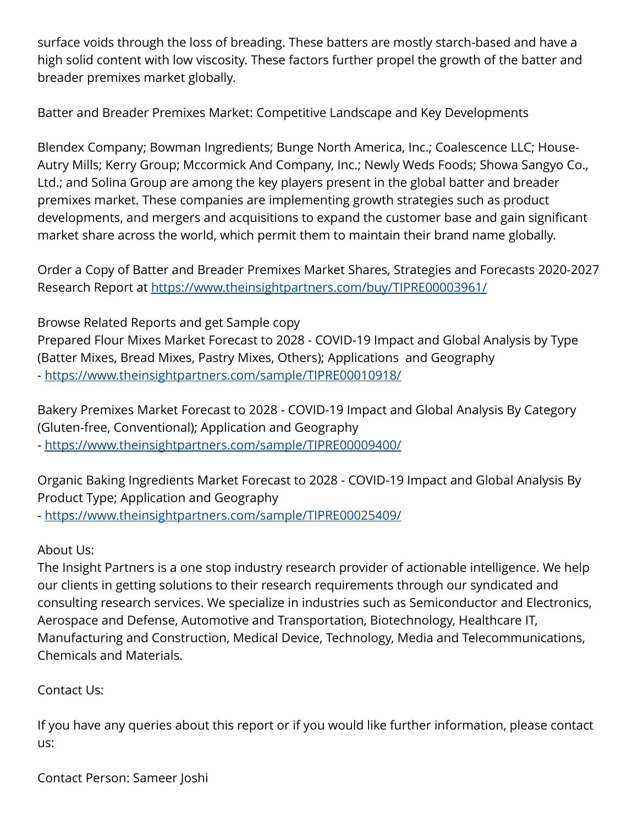surface voids through the loss of breading. These batters are mostly starch-based and have a high solid content with low viscosity. These factors further propel the growth of the batter and breader premixes market globally.

Batter and Breader Premixes Market: Competitive Landscape and Key Developments

Blendex Company; Bowman Ingredients; Bunge North America, Inc.; Coalescence LLC; House-Autry Mills; Kerry Group; Mccormick And Company, Inc.; Newly Weds Foods; Showa Sangyo Co., Ltd.; and Solina Group are among the key players present in the global batter and breader premixes market. These companies are implementing growth strategies such as product developments, and mergers and acquisitions to expand the customer base and gain significant market share across the world, which permit them to maintain their brand name globally.

Order a Copy of Batter and Breader Premixes Market Shares, Strategies and Forecasts 2020-2027 Research Report at [https://www.theinsightpartners.com/buy/TIPRE00003961/](https://www.theinsightpartners.com/buy/TIPRE00003961/?utm_source=EINPressWire&utm_medium=10310)

Browse Related Reports and get Sample copy Prepared Flour Mixes Market Forecast to 2028 - COVID-19 Impact and Global Analysis by Type (Batter Mixes, Bread Mixes, Pastry Mixes, Others); Applications and Geography - <https://www.theinsightpartners.com/sample/TIPRE00010918/>

Bakery Premixes Market Forecast to 2028 - COVID-19 Impact and Global Analysis By Category (Gluten-free, Conventional); Application and Geography - <https://www.theinsightpartners.com/sample/TIPRE00009400/>

Organic Baking Ingredients Market Forecast to 2028 - COVID-19 Impact and Global Analysis By Product Type; Application and Geography - <https://www.theinsightpartners.com/sample/TIPRE00025409/>

About Us:

The Insight Partners is a one stop industry research provider of actionable intelligence. We help our clients in getting solutions to their research requirements through our syndicated and consulting research services. We specialize in industries such as Semiconductor and Electronics, Aerospace and Defense, Automotive and Transportation, Biotechnology, Healthcare IT, Manufacturing and Construction, Medical Device, Technology, Media and Telecommunications, Chemicals and Materials.

Contact Us:

If you have any queries about this report or if you would like further information, please contact us:

Contact Person: Sameer Joshi